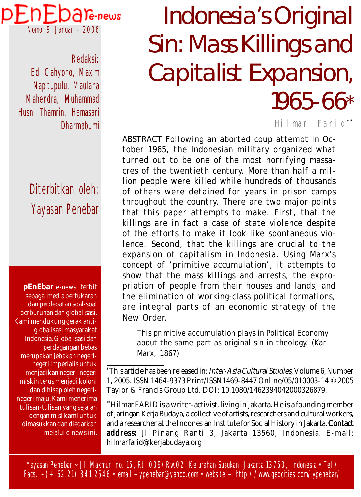

Redaksi: Edi Cahyono, Maxim Napitupulu, Maulana Mahendra, Muhammad Husni Thamrin, Hemasari Dharmabumi

### Diterbitkan oleh: Yayasan Penebar

**pEnEbar** e-news terbit sebagai media pertukaran dan perdebatan soal-soal perburuhan dan globalisasi. Kami mendukung gerak antiglobalisasi masyarakat Indonesia. Globalisasi dan perdagangan bebas merupakan jebakan negerinegeri imperialis untuk menjadikan negeri-negeri miskin terus menjadi koloni dan dihisap oleh negerinegeri maju. Kami menerima tulisan-tulisan yang sejalan dengan misi kami untuk dimasukkan dan diedarkan melalui e-news ini.

## Indonesia's Original Sin: Mass Killings and Capitalist Expansion, 1965-66\*

Hilmar Farid\* \*

ABSTRACT *Following an aborted coup attempt in October 1965, the Indonesian military organized what turned out to be one of the most horrifying massacres of the twentieth century. More than half a million people were killed while hundreds of thousands of others were detained for years in prison camps throughout the country. There are two major points that this paper attempts to make. First, that the killings are in fact a case of state violence despite of the efforts to make it look like spontaneous violence. Second, that the killings are crucial to the expansion of capitalism in Indonesia. Using Marx's concept of 'primitive accumulation', it attempts to show that the mass killings and arrests, the expropriation of people from their houses and lands, and the elimination of working-class political formations, are integral parts of an economic strategy of the New Order.*

This primitive accumulation plays in Political Economy about the same part as original sin in theology. (Karl Marx, 1867)

<sup>\*</sup> This article has been released in: Inter-Asia Cultural Studies, Volume 6, Number 1, 2005. ISSN 1464-9373 Print/ISSN1469-8447 Online/05/010003-14 © 2005 Taylor & Francis Group Ltd. DOI: 10.1080/1462394042000326879.

<sup>\*\*</sup> Hilmar FARID is a writer-activist, living in Jakarta. He is a founding member of Jaringan Kerja Budaya, a collective of artists, researchers and cultural workers, and a researcher at the Indonesian Institute for Social History in Jakarta. Contact address: Jl Pinang Ranti 3, Jakarta 13560, Indonesia. E-mail: hilmarfarid@kerjabudaya.org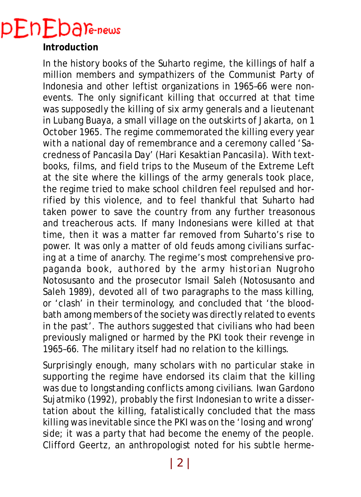#### **Introduction**

In the history books of the Suharto regime, the killings of half a million members and sympathizers of the Communist Party of Indonesia and other leftist organizations in 1965–66 were nonevents. The only significant killing that occurred at that time was supposedly the killing of six army generals and a lieutenant in Lubang Buaya, a small village on the outskirts of Jakarta, on 1 October 1965. The regime commemorated the killing every year with a national day of remembrance and a ceremony called 'Sacredness of Pancasila Day' (*Hari Kesaktian Pancasila*). With textbooks, films, and field trips to the Museum of the Extreme Left at the site where the killings of the army generals took place, the regime tried to make school children feel repulsed and horrified by this violence, and to feel thankful that Suharto had taken power to save the country from any further treasonous and treacherous acts. If many Indonesians were killed at that time, then it was a matter far removed from Suharto's rise to power. It was only a matter of old feuds among civilians surfacing at a time of anarchy. The regime's most comprehensive propaganda book, authored by the army historian Nugroho Notosusanto and the prosecutor Ismail Saleh (Notosusanto and Saleh 1989), devoted all of two paragraphs to the mass killing, or 'clash' in their terminology, and concluded that 'the bloodbath among members of the society was directly related to events in the past'. The authors suggested that civilians who had been previously maligned or harmed by the PKI took their revenge in 1965–66. The military itself had no relation to the killings.

Surprisingly enough, many scholars with no particular stake in supporting the regime have endorsed its claim that the killing was due to longstanding conflicts among civilians. Iwan Gardono Sujatmiko (1992), probably the first Indonesian to write a dissertation about the killing, fatalistically concluded that the mass killing was inevitable since the PKI was on the 'losing and wrong' side; it was a party that had become the enemy of the people. Clifford Geertz, an anthropologist noted for his subtle herme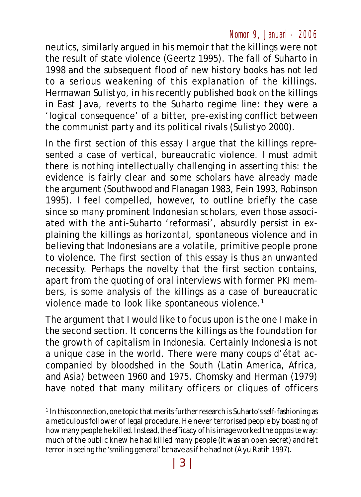neutics, similarly argued in his memoir that the killings were not the result of state violence (Geertz 1995). The fall of Suharto in 1998 and the subsequent flood of new history books has not led to a serious weakening of this explanation of the killings. Hermawan Sulistyo, in his recently published book on the killings in East Java, reverts to the Suharto regime line: they were a 'logical consequence' of a bitter, pre-existing conflict between the communist party and its political rivals (Sulistyo 2000).

In the first section of this essay I argue that the killings represented a case of vertical, bureaucratic violence. I must admit there is nothing intellectually challenging in asserting this: the evidence is fairly clear and some scholars have already made the argument (Southwood and Flanagan 1983, Fein 1993, Robinson 1995). I feel compelled, however, to outline briefly the case since so many prominent Indonesian scholars, even those associated with the anti-Suharto 'reformasi', absurdly persist in explaining the killings as horizontal, spontaneous violence and in believing that Indonesians are a volatile, primitive people prone to violence. The first section of this essay is thus an unwanted necessity. Perhaps the novelty that the first section contains, apart from the quoting of oral interviews with former PKI members, is some analysis of the killings as a case of bureaucratic violence *made to look like spontaneous violence*.1

The argument that I would like to focus upon is the one I make in the second section. It concerns the killings as the foundation for the growth of capitalism in Indonesia. Certainly Indonesia is not a unique case in the world. There were many *coups d'état* accompanied by bloodshed in the South (Latin America, Africa, and Asia) between 1960 and 1975. Chomsky and Herman (1979) have noted that many military officers or cliques of officers

1 In this connection, one topic that merits further research is Suharto's self-fashioning as a meticulous follower of legal procedure. He never terrorised people by boasting of how many people he killed. Instead, the efficacy of his image worked the opposite way: much of the public knew he had killed many people (it was an open secret) and felt terror in seeing the 'smiling general' behave as if he had not (Ayu Ratih 1997).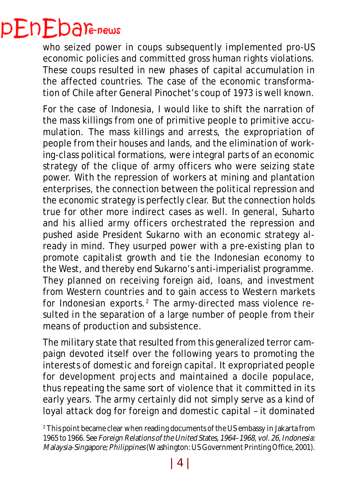who seized power in coups subsequently implemented pro-US economic policies and committed gross human rights violations. These coups resulted in new phases of capital accumulation in the affected countries. The case of the economic transformation of Chile after General Pinochet's coup of 1973 is well known.

For the case of Indonesia, I would like to shift the narration of the mass killings from one of primitive people to primitive accumulation. The mass killings and arrests, the expropriation of people from their houses and lands, and the elimination of working-class political formations, were integral parts of an economic strategy of the clique of army officers who were seizing state power. With the repression of workers at mining and plantation enterprises, the connection between the political repression and the economic strategy is perfectly clear. But the connection holds true for other more indirect cases as well. In general, Suharto and his allied army officers orchestrated the repression and pushed aside President Sukarno with an economic strategy already in mind. They usurped power with a pre-existing plan to promote capitalist growth and tie the Indonesian economy to the West, and thereby end Sukarno's anti-imperialist programme. They planned on receiving foreign aid, loans, and investment from Western countries and to gain access to Western markets for Indonesian exports.<sup>2</sup> The army-directed mass violence resulted in the separation of a large number of people from their means of production and subsistence.

The military state that resulted from this generalized terror campaign devoted itself over the following years to promoting the interests of domestic and foreign capital. It expropriated people for development projects and maintained a docile populace, thus repeating the same sort of violence that it committed in its early years. The army certainly did not simply serve as a kind of loyal attack dog for foreign and domestic capital – it dominated

 $^{\rm 2}$  This point became clear when reading documents of the US embassy in Jakarta from 1965 to 1966. See Foreign Relations of the United States, 1964–1968, vol. 26, Indonesia: Malaysia-Singapore; Philippines (Washington: US Government Printing Office, 2001).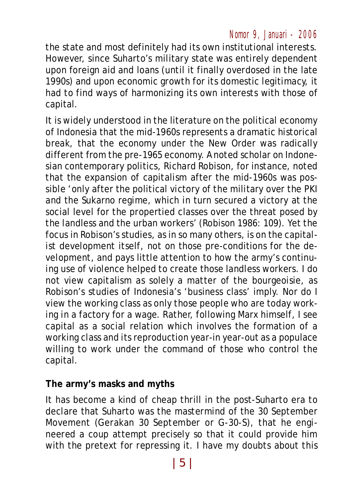the state and most definitely had its own institutional interests. However, since Suharto's military state was entirely dependent upon foreign aid and loans (until it finally overdosed in the late 1990s) and upon economic growth for its domestic legitimacy, it had to find ways of harmonizing its own interests with those of capital.

It is widely understood in the literature on the political economy of Indonesia that the mid-1960s represents a dramatic historical break, that the economy under the New Order was radically different from the pre-1965 economy. A noted scholar on Indonesian contemporary politics, Richard Robison, for instance, noted that the expansion of capitalism after the mid-1960s was possible 'only after the political victory of the military over the PKI and the Sukarno regime, which in turn secured a victory at the social level for the propertied classes over the threat posed by the landless and the urban workers' (Robison 1986: 109). Yet the focus in Robison's studies, as in so many others, is on the capitalist development itself, not on those pre-conditions for the development, and pays little attention to how the army's continuing use of violence helped to create those landless workers. I do not view capitalism as solely a matter of the bourgeoisie, as Robison's studies of Indonesia's 'business class' imply. Nor do I view the working class as only those people who are today working in a factory for a wage. Rather, following Marx himself, I see capital as a social relation which involves the formation of a working class and its reproduction year-in year-out as a populace willing to work under the command of those who control the capital.

#### **The army's masks and myths**

It has become a kind of cheap thrill in the post-Suharto era to declare that Suharto was the mastermind of the 30 September Movement (*Gerakan 30 September* or G-30-S), that he engineered a coup attempt precisely so that it could provide him with the pretext for repressing it. I have my doubts about this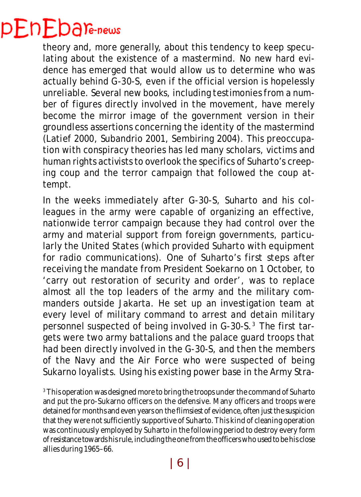theory and, more generally, about this tendency to keep speculating about the existence of a mastermind. No new hard evidence has emerged that would allow us to determine who was actually behind G-30-S, even if the official version is hopelessly unreliable. Several new books, including testimonies from a number of figures directly involved in the movement, have merely become the mirror image of the government version in their groundless assertions concerning the identity of the mastermind (Latief 2000, Subandrio 2001, Sembiring 2004). This preoccupation with conspiracy theories has led many scholars, victims and human rights activists to overlook the specifics of Suharto's creeping coup and the terror campaign that followed the coup attempt.

In the weeks immediately after G-30-S, Suharto and his colleagues in the army were capable of organizing an effective, nationwide terror campaign because they had control over the army and material support from foreign governments, particularly the United States (which provided Suharto with equipment for radio communications). One of Suharto's first steps after receiving the mandate from President Soekarno on 1 October, to 'carry out restoration of security and order', was to replace almost all the top leaders of the army and the military commanders outside Jakarta. He set up an investigation team at every level of military command to arrest and detain military personnel suspected of being involved in G-30-S.<sup>3</sup> The first targets were two army battalions and the palace guard troops that had been directly involved in the G-30-S, and then the members of the Navy and the Air Force who were suspected of being Sukarno loyalists. Using his existing power base in the Army Stra-

 $\,{}^{3}$  This operation was designed more to bring the troops under the command of Suharto and put the pro-Sukarno officers on the defensive. Many officers and troops were detained for months and even years on the flimsiest of evidence, often just the suspicion that they were not sufficiently supportive of Suharto. This kind of cleaning operation was continuously employed by Suharto in the following period to destroy every form of resistance towards his rule, including the one from the officers who used to be his close allies during 1965–66.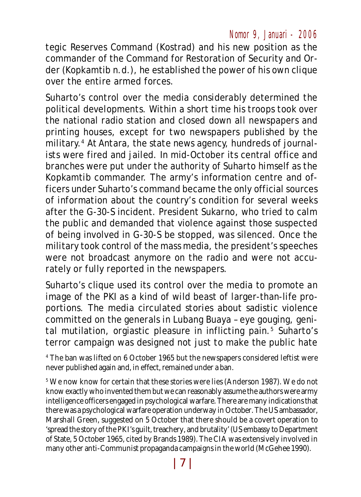tegic Reserves Command (Kostrad) and his new position as the commander of the Command for Restoration of Security and Order (Kopkamtib n.d.), he established the power of his own clique over the entire armed forces.

Suharto's control over the media considerably determined the political developments. Within a short time his troops took over the national radio station and closed down all newspapers and printing houses, except for two newspapers published by the military.4 At Antara, the state news agency, hundreds of journalists were fired and jailed. In mid-October its central office and branches were put under the authority of Suharto himself as the Kopkamtib commander. The army's information centre and officers under Suharto's command became the only official sources of information about the country's condition for several weeks after the G-30-S incident. President Sukarno, who tried to calm the public and demanded that violence against those suspected of being involved in G-30-S be stopped, was silenced. Once the military took control of the mass media, the president's speeches were not broadcast anymore on the radio and were not accurately or fully reported in the newspapers.

Suharto's clique used its control over the media to promote an image of the PKI as a kind of wild beast of larger-than-life proportions. The media circulated stories about sadistic violence committed on the generals in Lubang Buaya – eye gouging, genital mutilation, orgiastic pleasure in inflicting pain.<sup>5</sup> Suharto's terror campaign was designed not just to make the public hate

4 The ban was lifted on 6 October 1965 but the newspapers considered leftist were never published again and, in effect, remained under a ban.

5 We now know for certain that these stories were lies (Anderson 1987). We do not know exactly who invented them but we can reasonably assume the authors were army intelligence officers engaged in psychological warfare. There are many indications that there was a psychological warfare operation underway in October. The US ambassador, Marshall Green, suggested on 5 October that there should be a covert operation to 'spread the story of the PKI's guilt, treachery, and brutality' (US embassy to Department of State, 5 October 1965, cited by Brands 1989). The CIA was extensively involved in many other anti-Communist propaganda campaigns in the world (McGehee 1990).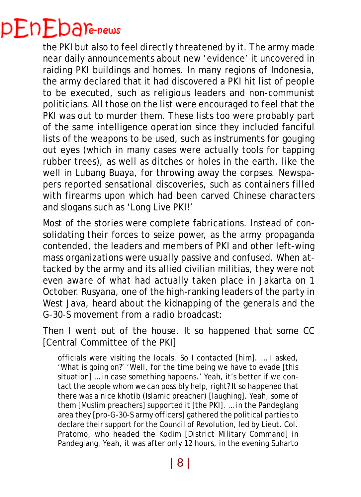### **PEnEbare-news**

the PKI but also to feel directly threatened by it. The army made near daily announcements about new 'evidence' it uncovered in raiding PKI buildings and homes. In many regions of Indonesia, the army declared that it had discovered a PKI hit list of people to be executed, such as religious leaders and non-communist politicians. All those on the list were encouraged to feel that the PKI was out to murder them. These lists too were probably part of the same intelligence operation since they included fanciful lists of the weapons to be used, such as instruments for gouging out eyes (which in many cases were actually tools for tapping rubber trees), as well as ditches or holes in the earth, like the well in Lubang Buaya, for throwing away the corpses. Newspapers reported sensational discoveries, such as containers filled with firearms upon which had been carved Chinese characters and slogans such as 'Long Live PKI!'

Most of the stories were complete fabrications. Instead of consolidating their forces to seize power, as the army propaganda contended, the leaders and members of PKI and other left-wing mass organizations were usually passive and confused. When attacked by the army and its allied civilian militias, they were not even aware of what had actually taken place in Jakarta on 1 October. Rusyana, one of the high-ranking leaders of the party in West Java, heard about the kidnapping of the generals and the G-30-S movement from a radio broadcast:

Then I went out of the house. It so happened that some CC [Central Committee of the PKI]

officials were visiting the locals. So I contacted [him]. … I asked, 'What is going on?' 'Well, for the time being we have to evade [this situation] … in case something happens.' Yeah, it's better if we contact the people whom we can possibly help, right? It so happened that there was a nice *khotib* (Islamic preacher) [laughing]. Yeah, some of them [Muslim preachers] supported it [the PKI]. … in the Pandeglang area they [pro-G-30-S army officers] gathered the political parties to declare their support for the Council of Revolution, led by Lieut. Col. Pratomo, who headed the Kodim [District Military Command] in Pandeglang. Yeah, it was after only 12 hours, in the evening Suharto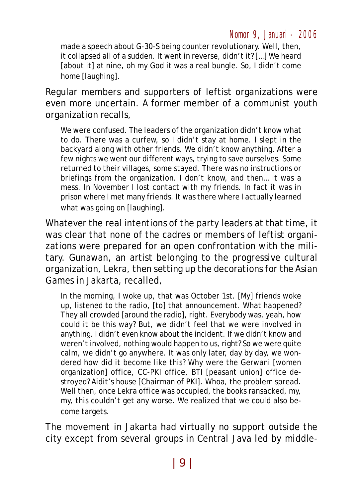made a speech about G-30-S being counter revolutionary. Well, then, it collapsed all of a sudden. It went in reverse, didn't it? […] We heard [about it] at nine, oh my God it was a real bungle. So, I didn't come home [laughing].

Regular members and supporters of leftist organizations were even more uncertain. A former member of a communist youth organization recalls,

We were confused. The leaders of the organization didn't know what to do. There was a curfew, so I didn't stay at home. I slept in the backyard along with other friends. We didn't know anything. After a few nights we went our different ways, trying to save ourselves. Some returned to their villages, some stayed. There was no instructions or briefings from the organization. I don't know, and then… it was a mess. In November I lost contact with my friends. In fact it was in prison where I met many friends. It was there where I actually learned what was going on [laughing].

Whatever the real intentions of the party leaders at that time, it was clear that none of the cadres or members of leftist organizations were prepared for an open confrontation with the military. Gunawan, an artist belonging to the progressive cultural organization, Lekra, then setting up the decorations for the Asian Games in Jakarta, recalled,

In the morning, I woke up, that was October 1st. [My] friends woke up, listened to the radio, [to] that announcement. What happened? They all crowded [around the radio], right. Everybody was, yeah, how could it be this way? But, we didn't feel that we were involved in anything. I didn't even know about the incident. If we didn't know and weren't involved, nothing would happen to us, right? So we were quite calm, we didn't go anywhere. It was only later, day by day, we wondered how did it become like this? Why were the Gerwani [women organization] office, CC-PKI office, BTI [peasant union] office destroyed? Aidit's house [Chairman of PKI]. Whoa, the problem spread. Well then, once Lekra office was occupied, the books ransacked, my, my, this couldn't get any worse. We realized that we could also become targets.

The movement in Jakarta had virtually no support outside the city except from several groups in Central Java led by middle-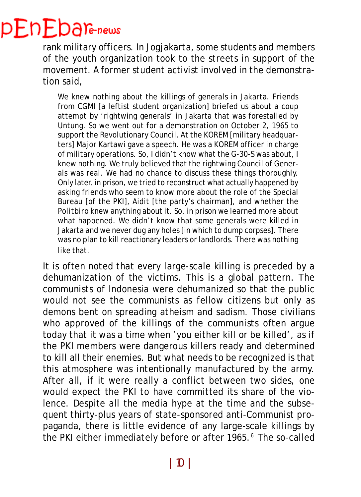### **PEnEbare-news**

rank military officers. In Jogjakarta, some students and members of the youth organization took to the streets in support of the movement. A former student activist involved in the demonstration said,

We knew nothing about the killings of generals in Jakarta. Friends from CGMI [a leftist student organization] briefed us about a coup attempt by 'rightwing generals' in Jakarta that was forestalled by Untung. So we went out for a demonstration on October 2, 1965 to support the Revolutionary Council. At the KOREM [military headquarters] Major Kartawi gave a speech. He was a KOREM officer in charge of military operations. So, I didn't know what the G-30-S was about, I knew nothing. We truly believed that the rightwing Council of Generals was real. We had no chance to discuss these things thoroughly. Only later, in prison, we tried to reconstruct what actually happened by asking friends who seem to know more about the role of the Special Bureau [of the PKI], Aidit [the party's chairman], and whether the *Politbiro* knew anything about it. So, in prison we learned more about what happened. We didn't know that some generals were killed in Jakarta and we never dug any holes [in which to dump corpses]. There was no plan to kill reactionary leaders or landlords. There was nothing like that.

It is often noted that every large-scale killing is preceded by a dehumanization of the victims. This is a global pattern. The communists of Indonesia were dehumanized so that the public would not see the communists as fellow citizens but only as demons bent on spreading atheism and sadism. Those civilians who approved of the killings of the communists often argue today that it was a time when 'you either kill or be killed', as if the PKI members were dangerous killers ready and determined to kill all their enemies. But what needs to be recognized is that this atmosphere was intentionally manufactured by the army. After all, if it were really a conflict between two sides, one would expect the PKI to have committed its share of the violence. Despite all the media hype at the time and the subsequent thirty-plus years of state-sponsored anti-Communist propaganda, there is little evidence of any large-scale killings by the PKI either immediately before or after 1965.<sup>6</sup> The so-called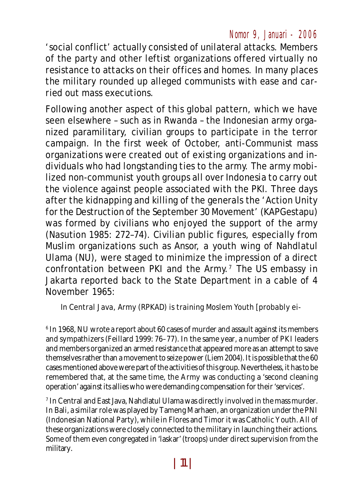'social conflict' actually consisted of unilateral attacks. Members of the party and other leftist organizations offered virtually no resistance to attacks on their offices and homes. In many places the military rounded up alleged communists with ease and carried out mass executions.

Following another aspect of this global pattern, which we have seen elsewhere – such as in Rwanda – the Indonesian army organized paramilitary, civilian groups to participate in the terror campaign. In the first week of October, anti-Communist mass organizations were created out of existing organizations and individuals who had longstanding ties to the army. The army mobilized non-communist youth groups all over Indonesia to carry out the violence against people associated with the PKI. Three days after the kidnapping and killing of the generals the 'Action Unity for the Destruction of the September 30 Movement' (KAPGestapu) was formed by civilians who enjoyed the support of the army (Nasution 1985: 272–74). Civilian public figures, especially from Muslim organizations such as Ansor, a youth wing of Nahdlatul Ulama (NU), were staged to minimize the impression of a direct confrontation between PKI and the Army.<sup>7</sup> The US embassy in Jakarta reported back to the State Department in a cable of 4 November 1965:

In Central Java, Army (RPKAD) is training Moslem Youth [probably ei-

 $^{\circ}$  In 1968, NU wrote a report about 60 cases of murder and assault against its members and sympathizers (Feillard 1999: 76–77). In the same year, a number of PKI leaders and members organized an armed resistance that appeared more as an attempt to save themselves rather than a movement to seize power (Liem 2004). It is possible that the 60 cases mentioned above were part of the activities of this group. Nevertheless, it has to be remembered that, at the same time, the Army was conducting a 'second cleaning operation' against its allies who were demanding compensation for their 'services'.

 $^7$  In Central and East Java, Nahdlatul Ulama was directly involved in the mass murder. In Bali, a similar role was played by Tameng Marhaen, an organization under the PNI (Indonesian National Party), while in Flores and Timor it was Catholic Youth. All of these organizations were closely connected to the military in launching their actions. Some of them even congregated in 'laskar' (troops) under direct supervision from the military.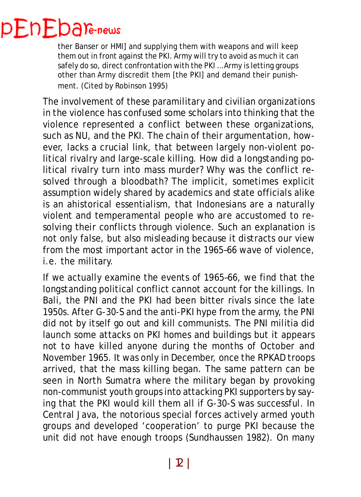### **PEnEbare-news**

ther Banser or HMI] and supplying them with weapons and will keep them out in front against the PKI. Army will try to avoid as much it can safely do so, direct confrontation with the PKI … Army is letting groups other than Army discredit them [the PKI] and demand their punishment. (Cited by Robinson 1995)

The involvement of these paramilitary and civilian organizations in the violence has confused some scholars into thinking that the violence represented a conflict between these organizations, such as NU, and the PKI. The chain of their argumentation, however, lacks a crucial link, that between largely non-violent political rivalry and large-scale killing. How did a longstanding political rivalry turn into mass murder? Why was the conflict resolved through a bloodbath? The implicit, sometimes explicit assumption widely shared by academics and state officials alike is an ahistorical essentialism, that Indonesians are a naturally violent and temperamental people who are accustomed to resolving their conflicts through violence. Such an explanation is not only false, but also misleading because it distracts our view from the most important actor in the 1965–66 wave of violence, i.e. the military.

If we actually examine the events of 1965–66, we find that the longstanding political conflict cannot account for the killings. In Bali, the PNI and the PKI had been bitter rivals since the late 1950s. After G-30-S and the anti-PKI hype from the army, the PNI did not by itself go out and kill communists. The PNI militia did launch some attacks on PKI homes and buildings but it appears not to have killed anyone during the months of October and November 1965. It was only in December, once the RPKAD troops arrived, that the mass killing began. The same pattern can be seen in North Sumatra where the military began by provoking non-communist youth groups into attacking PKI supporters by saying that the PKI would kill them all if G-30-S was successful. In Central Java, the notorious special forces actively armed youth groups and developed 'cooperation' to purge PKI because the unit did not have enough troops (Sundhaussen 1982). On many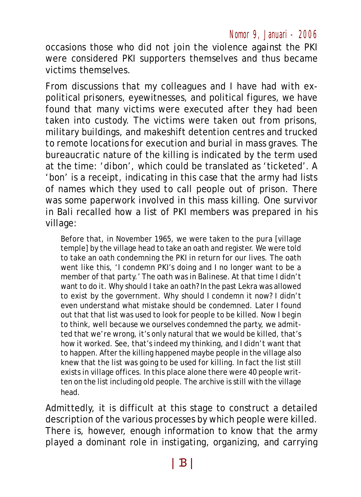occasions those who did not join the violence against the PKI were considered PKI supporters themselves and thus became victims themselves.

From discussions that my colleagues and I have had with expolitical prisoners, eyewitnesses, and political figures, we have found that many victims were executed after they had been taken into custody. The victims were taken out from prisons, military buildings, and makeshift detention centres and trucked to remote locations for execution and burial in mass graves. The bureaucratic nature of the killing is indicated by the term used at the time: '*dibon*', which could be translated as 'ticketed'. A 'bon' is a receipt, indicating in this case that the army had lists of names which they used to call people out of prison. There was some paperwork involved in this mass killing. One survivor in Bali recalled how a list of PKI members was prepared in his village:

Before that, in November 1965, we were taken to the *pura* [village temple] by the village head to take an oath and register. We were told to take an oath condemning the PKI in return for our lives. The oath went like this, 'I condemn PKI's doing and I no longer want to be a member of that party.' The oath was in Balinese. At that time I didn't want to do it. Why should I take an oath? In the past Lekra was allowed to exist by the government. Why should I condemn it now? I didn't even understand what mistake should be condemned. Later I found out that that list was used to look for people to be killed. Now I begin to think, well because we ourselves condemned the party, we admitted that we're wrong, it's only natural that we would be killed, that's how it worked. See, that's indeed my thinking, and I didn't want that to happen. After the killing happened maybe people in the village also knew that the list was going to be used for killing. In fact the list still exists in village offices. In this place alone there were 40 people written on the list including old people. The archive is still with the village head.

Admittedly, it is difficult at this stage to construct a detailed description of the various processes by which people were killed. There is, however, enough information to know that the army played a dominant role in instigating, organizing, and carrying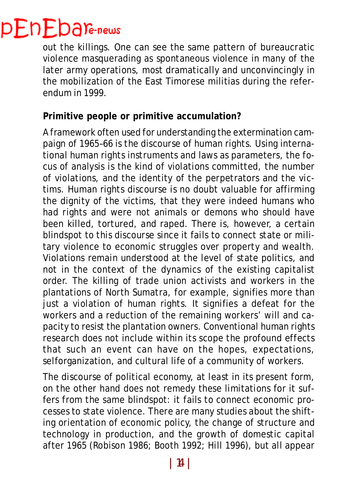out the killings. One can see the same pattern of bureaucratic violence masquerading as spontaneous violence in many of the later army operations, most dramatically and unconvincingly in the mobilization of the East Timorese militias during the referendum in 1999.

#### **Primitive people or primitive accumulation?**

A framework often used for understanding the extermination campaign of 1965–66 is the discourse of human rights. Using international human rights instruments and laws as parameters, the focus of analysis is the kind of violations committed, the number of violations, and the identity of the perpetrators and the victims. Human rights discourse is no doubt valuable for affirming the dignity of the victims, that they were indeed humans who had rights and were not animals or demons who should have been killed, tortured, and raped. There is, however, a certain blindspot to this discourse since it fails to connect state or military violence to economic struggles over property and wealth. Violations remain understood at the level of state politics, and not in the context of the dynamics of the existing capitalist order. The killing of trade union activists and workers in the plantations of North Sumatra, for example, signifies more than just a violation of human rights. It signifies a defeat for the workers and a reduction of the remaining workers' will and capacity to resist the plantation owners. Conventional human rights research does not include within its scope the profound effects that such an event can have on the hopes, expectations, selforganization, and cultural life of a community of workers.

The discourse of political economy, at least in its present form, on the other hand does not remedy these limitations for it suffers from the same blindspot: it fails to connect economic processes to state violence. There are many studies about the shifting orientation of economic policy, the change of structure and technology in production, and the growth of domestic capital after 1965 (Robison 1986; Booth 1992; Hill 1996), but all appear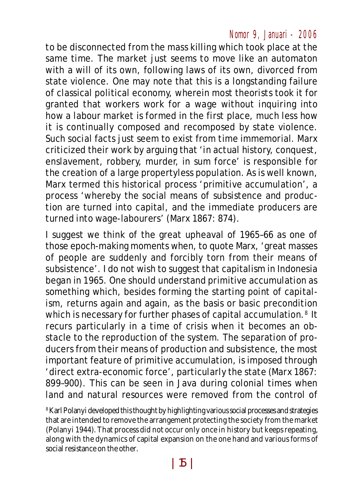to be disconnected from the mass killing which took place at the same time. The market just seems to move like an automaton with a will of its own, following laws of its own, divorced from state violence. One may note that this is a longstanding failure of classical political economy, wherein most theorists took it for granted that workers work for a wage without inquiring into how a labour market is formed in the first place, much less how it is continually composed and recomposed by state violence. Such social facts just seem to exist from time immemorial. Marx criticized their work by arguing that 'in actual history, conquest, enslavement, robbery, murder, in sum force' is responsible for the creation of a large propertyless population. As is well known, Marx termed this historical process 'primitive accumulation', a process 'whereby the social means of subsistence and production are turned into capital, and the immediate producers are turned into wage-labourers' (Marx 1867: 874).

I suggest we think of the great upheaval of 1965–66 as one of those epoch-making moments when, to quote Marx, 'great masses of people are suddenly and forcibly torn from their means of subsistence'. I do not wish to suggest that capitalism in Indonesia began in 1965. One should understand primitive accumulation as something which, besides forming the starting point of capitalism, returns again and again, as the basis or basic precondition which is necessary for further phases of capital accumulation.<sup>8</sup> It recurs particularly in a time of crisis when it becomes an obstacle to the reproduction of the system. The separation of producers from their means of production and subsistence, the most important feature of primitive accumulation, is imposed through 'direct extra-economic force', particularly the state (Marx 1867: 899–900). This can be seen in Java during colonial times when land and natural resources were removed from the control of

 $^{\text{\tiny{\textregistered}}}$  Karl Polanyi developed this thought by highlighting various social processes and strategies that are intended to remove the arrangement protecting the society from the market (Polanyi 1944). That process did not occur only once in history but keeps repeating, along with the dynamics of capital expansion on the one hand and various forms of social resistance on the other.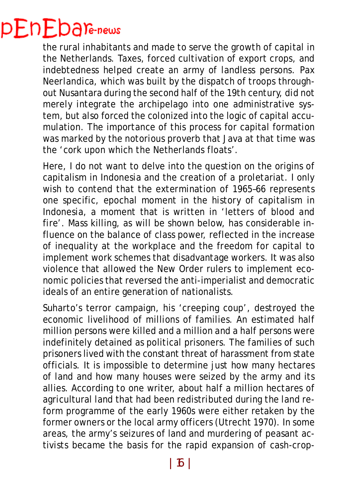the rural inhabitants and made to serve the growth of capital in the Netherlands. Taxes, forced cultivation of export crops, and indebtedness helped create an army of landless persons. *Pax Neerlandica*, which was built by the dispatch of troops throughout Nusantara during the second half of the 19th century, did not merely integrate the archipelago into one administrative system, but also forced the colonized into the logic of capital accumulation. The importance of this process for capital formation was marked by the notorious proverb that Java at that time was the 'cork upon which the Netherlands floats'.

Here, I do not want to delve into the question on the origins of capitalism in Indonesia and the creation of a proletariat. I only wish to contend that the extermination of 1965–66 represents one specific, epochal moment in the history of capitalism in Indonesia, a moment that is written in 'letters of blood and fire'. Mass killing, as will be shown below, has considerable influence on the balance of class power, reflected in the increase of inequality at the workplace and the freedom for capital to implement work schemes that disadvantage workers. It was also violence that allowed the New Order rulers to implement economic policies that reversed the anti-imperialist and democratic ideals of an entire generation of nationalists.

Suharto's terror campaign, his 'creeping coup', destroyed the economic livelihood of millions of families. An estimated half million persons were killed and a million and a half persons were indefinitely detained as political prisoners. The families of such prisoners lived with the constant threat of harassment from state officials. It is impossible to determine just how many hectares of land and how many houses were seized by the army and its allies. According to one writer, about half a million hectares of agricultural land that had been redistributed during the land reform programme of the early 1960s were either retaken by the former owners or the local army officers (Utrecht 1970). In some areas, the army's seizures of land and murdering of peasant activists became the basis for the rapid expansion of cash-crop-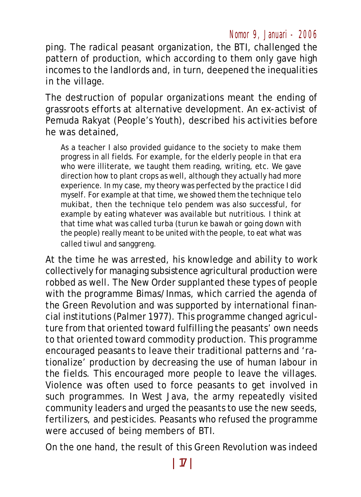ping. The radical peasant organization, the BTI, challenged the pattern of production, which according to them only gave high incomes to the landlords and, in turn, deepened the inequalities in the village.

The destruction of popular organizations meant the ending of grassroots efforts at alternative development. An ex-activist of Pemuda Rakyat (People's Youth), described his activities before he was detained,

As a teacher I also provided guidance to the society to make them progress in all fields. For example, for the elderly people in that era who were illiterate, we taught them reading, writing, etc. We gave direction how to plant crops as well, although they actually had more experience. In my case, my theory was perfected by the practice I did myself. For example at that time, we showed them the technique *telo mukibat*, then the technique *telo pendem* was also successful, for example by eating whatever was available but nutritious. I think at that time what was called *turba* (*turun ke bawah* or going down with the people) really meant to be united with the people, to eat what was called *tiwul* and *sanggreng*.

At the time he was arrested, his knowledge and ability to work collectively for managing subsistence agricultural production were robbed as well. The New Order supplanted these types of people with the programme Bimas/Inmas, which carried the agenda of the Green Revolution and was supported by international financial institutions (Palmer 1977). This programme changed agriculture from that oriented toward fulfilling the peasants' own needs to that oriented toward commodity production. This programme encouraged peasants to leave their traditional patterns and 'rationalize' production by decreasing the use of human labour in the fields. This encouraged more people to leave the villages. Violence was often used to force peasants to get involved in such programmes. In West Java, the army repeatedly visited community leaders and urged the peasants to use the new seeds, fertilizers, and pesticides. Peasants who refused the programme were accused of being members of BTI.

On the one hand, the result of this Green Revolution was indeed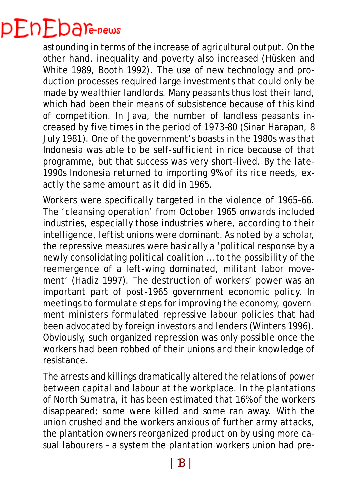astounding in terms of the increase of agricultural output. On the other hand, inequality and poverty also increased (Hüsken and White 1989, Booth 1992). The use of new technology and production processes required large investments that could only be made by wealthier landlords. Many peasants thus lost their land, which had been their means of subsistence because of this kind of competition. In Java, the number of landless peasants increased by five times in the period of 1973–80 (*Sinar Harapan*, 8 July 1981). One of the government's boasts in the 1980s was that Indonesia was able to be self-sufficient in rice because of that programme, but that success was very short-lived. By the late-1990s Indonesia returned to importing 9% of its rice needs, exactly the same amount as it did in 1965.

Workers were specifically targeted in the violence of 1965–66. The 'cleansing operation' from October 1965 onwards included industries, especially those industries where, according to their intelligence, leftist unions were dominant. As noted by a scholar, the repressive measures were basically a 'political response by a newly consolidating political coalition … to the possibility of the reemergence of a left-wing dominated, militant labor movement' (Hadiz 1997). The destruction of workers' power was an important part of post-1965 government economic policy. In meetings to formulate steps for improving the economy, government ministers formulated repressive labour policies that had been advocated by foreign investors and lenders (Winters 1996). Obviously, such organized repression was only possible once the workers had been robbed of their unions and their knowledge of resistance.

The arrests and killings dramatically altered the relations of power between capital and labour at the workplace. In the plantations of North Sumatra, it has been estimated that 16% of the workers disappeared; some were killed and some ran away. With the union crushed and the workers anxious of further army attacks, the plantation owners reorganized production by using more casual labourers – a system the plantation workers union had pre-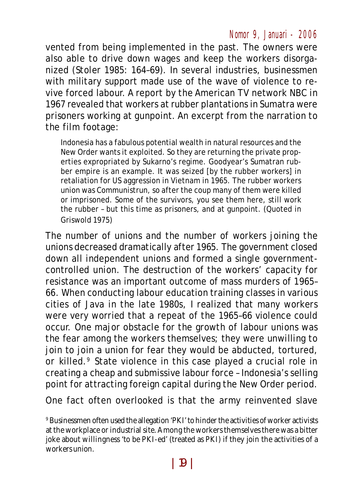vented from being implemented in the past. The owners were also able to drive down wages and keep the workers disorganized (Stoler 1985: 164–69). In several industries, businessmen with military support made use of the wave of violence to revive forced labour. A report by the American TV network NBC in 1967 revealed that workers at rubber plantations in Sumatra were prisoners working at gunpoint. An excerpt from the narration to the film footage:

Indonesia has a fabulous potential wealth in natural resources and the New Order wants it exploited. So they are returning the private properties expropriated by Sukarno's regime. Goodyear's Sumatran rubber empire is an example. It was seized [by the rubber workers] in retaliation for US aggression in Vietnam in 1965. The rubber workers union was Communistrun, so after the coup many of them were killed or imprisoned. Some of the survivors, you see them here, still work the rubber – but this time as prisoners, and at gunpoint. (Quoted in Griswold 1975)

The number of unions and the number of workers joining the unions decreased dramatically after 1965. The government closed down all independent unions and formed a single governmentcontrolled union. The destruction of the workers' capacity for resistance was an important outcome of mass murders of 1965– 66. When conducting labour education training classes in various cities of Java in the late 1980s, I realized that many workers were very worried that a repeat of the 1965–66 violence could occur. One major obstacle for the growth of labour unions was the fear among the workers themselves; they were unwilling to join to join a union for fear they would be abducted, tortured, or killed.<sup>9</sup> State violence in this case played a crucial role in creating a cheap and submissive labour force – Indonesia's selling point for attracting foreign capital during the New Order period.

One fact often overlooked is that the army reinvented slave

 $^9$  Businessmen often used the allegation 'PKI' to hinder the activities of worker activists at the workplace or industrial site. Among the workers themselves there was a bitter joke about willingness 'to be PKI-ed' (treated as PKI) if they join the activities of a workers union.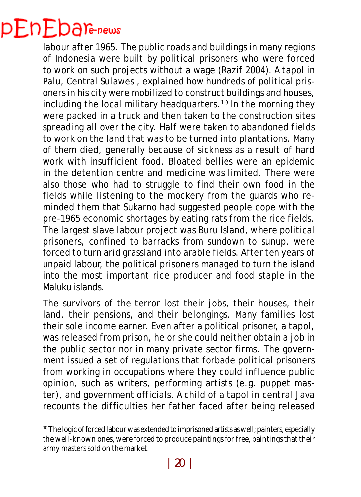labour after 1965. The public roads and buildings in many regions of Indonesia were built by political prisoners who were forced to work on such projects without a wage (Razif 2004). A tapol in Palu, Central Sulawesi, explained how hundreds of political prisoners in his city were mobilized to construct buildings and houses, including the local military headquarters.<sup>10</sup> In the morning they were packed in a truck and then taken to the construction sites spreading all over the city. Half were taken to abandoned fields to work on the land that was to be turned into plantations. Many of them died, generally because of sickness as a result of hard work with insufficient food. Bloated bellies were an epidemic in the detention centre and medicine was limited. There were also those who had to struggle to find their own food in the fields while listening to the mockery from the guards who reminded them that Sukarno had suggested people cope with the pre-1965 economic shortages by eating rats from the rice fields. The largest slave labour project was Buru Island, where political prisoners, confined to barracks from sundown to sunup, were forced to turn arid grassland into arable fields. After ten years of unpaid labour, the political prisoners managed to turn the island into the most important rice producer and food staple in the Maluku islands.

The survivors of the terror lost their jobs, their houses, their land, their pensions, and their belongings. Many families lost their sole income earner. Even after a political prisoner, a *tapol*, was released from prison, he or she could neither obtain a job in the public sector nor in many private sector firms. The government issued a set of regulations that forbade political prisoners from working in occupations where they could influence public opinion, such as writers, performing artists (e.g. puppet master), and government officials. A child of a tapol in central Java recounts the difficulties her father faced after being released

<sup>&</sup>lt;sup>10</sup> The logic of forced labour was extended to imprisoned artists as well; painters, especially the well-known ones, were forced to produce paintings for free, paintings that their army masters sold on the market.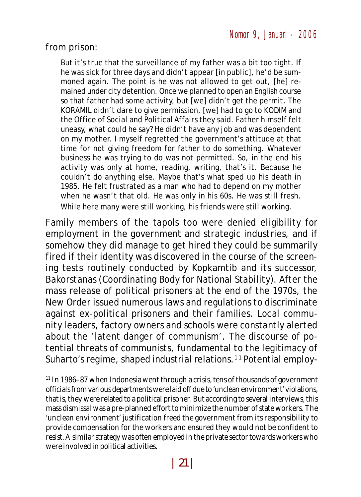#### from prison:

But it's true that the surveillance of my father was a bit too tight. If he was sick for three days and didn't appear [in public], he'd be summoned again. The point is he was not allowed to get out, [he] remained under city detention. Once we planned to open an English course so that father had some activity, but [we] didn't get the permit. The KORAMIL didn't dare to give permission, [we] had to go to KODIM and the Office of Social and Political Affairs they said. Father himself felt uneasy, what could he say? He didn't have any job and was dependent on my mother. I myself regretted the government's attitude at that time for not giving freedom for father to do something. Whatever business he was trying to do was not permitted. So, in the end his activity was only at home, reading, writing, that's it. Because he couldn't do anything else. Maybe that's what sped up his death in 1985. He felt frustrated as a man who had to depend on my mother when he wasn't that old. He was only in his 60s. He was still fresh. While here many were still working, his friends were still working.

Family members of the tapols too were denied eligibility for employment in the government and strategic industries, and if somehow they did manage to get hired they could be summarily fired if their identity was discovered in the course of the screening tests routinely conducted by Kopkamtib and its successor, Bakorstanas (Coordinating Body for National Stability). After the mass release of political prisoners at the end of the 1970s, the New Order issued numerous laws and regulations to discriminate against ex-political prisoners and their families. Local community leaders, factory owners and schools were constantly alerted about the 'latent danger of communism'. The discourse of potential threats of communists, fundamental to the legitimacy of Suharto's regime, shaped industrial relations.<sup>11</sup> Potential employ-

<sup>11</sup> In 1986–87 when Indonesia went through a crisis, tens of thousands of government officials from various departments were laid off due to 'unclean environment' violations, that is, they were related to a political prisoner. But according to several interviews, this mass dismissal was a pre-planned effort to minimize the number of state workers. The 'unclean environment' justification freed the government from its responsibility to provide compensation for the workers and ensured they would not be confident to resist. A similar strategy was often employed in the private sector towards workers who were involved in political activities.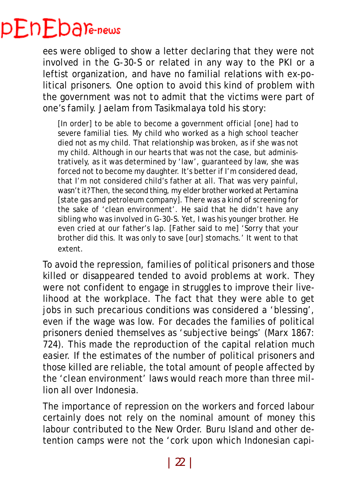ees were obliged to show a letter declaring that they were not involved in the G-30-S or related in any way to the PKI or a leftist organization, and have no familial relations with ex-political prisoners. One option to avoid this kind of problem with the government was not to admit that the victims were part of one's family. Jaelam from Tasikmalaya told his story:

[In order] to be able to become a government official [one] had to severe familial ties. My child who worked as a high school teacher died not as my child. That relationship was broken, as if she was not my child. Although in our hearts that was not the case, but administratively, as it was determined by 'law', guaranteed by law, she was forced not to become my daughter. It's better if I'm considered dead, that I'm not considered child's father at all. That was very painful, wasn't it? Then, the second thing, my elder brother worked at Pertamina [state gas and petroleum company]. There was a kind of screening for the sake of 'clean environment'. He said that he didn't have any sibling who was involved in G-30-S. Yet, I was his younger brother. He even cried at our father's lap. [Father said to me] 'Sorry that your brother did this. It was only to save [our] stomachs.' It went to that extent.

To avoid the repression, families of political prisoners and those killed or disappeared tended to avoid problems at work. They were not confident to engage in struggles to improve their livelihood at the workplace. The fact that they were able to get jobs in such precarious conditions was considered a 'blessing', even if the wage was low. For decades the families of political prisoners denied themselves as 'subjective beings' (Marx 1867: 724). This made the reproduction of the capital relation much easier. If the estimates of the number of political prisoners and those killed are reliable, the total amount of people affected by the 'clean environment' laws would reach more than three million all over Indonesia.

The importance of repression on the workers and forced labour certainly does not rely on the nominal amount of money this labour contributed to the New Order. Buru Island and other detention camps were not the 'cork upon which Indonesian capi-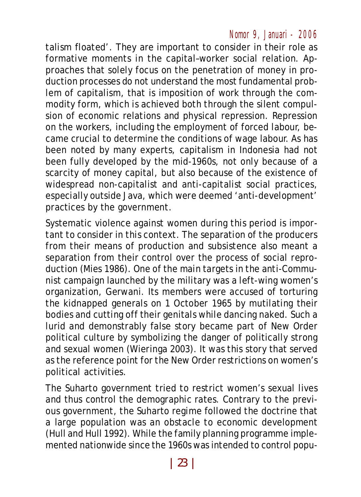talism floated'. They are important to consider in their role as formative moments in the capital–worker social relation. Approaches that solely focus on the penetration of money in production processes do not understand the most fundamental problem of capitalism, that is imposition of work through the commodity form, which is achieved both through the silent compulsion of economic relations and physical repression. Repression on the workers, including the employment of forced labour, became crucial to determine the conditions of wage labour. As has been noted by many experts, capitalism in Indonesia had not been fully developed by the mid-1960s, not only because of a scarcity of money capital, but also because of the existence of widespread non-capitalist and anti-capitalist social practices, especially outside Java, which were deemed 'anti-development' practices by the government.

Systematic violence against women during this period is important to consider in this context. The separation of the producers from their means of production and subsistence also meant a separation from their control over the process of social reproduction (Mies 1986). One of the main targets in the anti-Communist campaign launched by the military was a left-wing women's organization, Gerwani. Its members were accused of torturing the kidnapped generals on 1 October 1965 by mutilating their bodies and cutting off their genitals while dancing naked. Such a lurid and demonstrably false story became part of New Order political culture by symbolizing the danger of politically strong and sexual women (Wieringa 2003). It was this story that served as the reference point for the New Order restrictions on women's political activities.

The Suharto government tried to restrict women's sexual lives and thus control the demographic rates. Contrary to the previous government, the Suharto regime followed the doctrine that a large population was an obstacle to economic development (Hull and Hull 1992). While the family planning programme implemented nationwide since the 1960s was intended to control popu-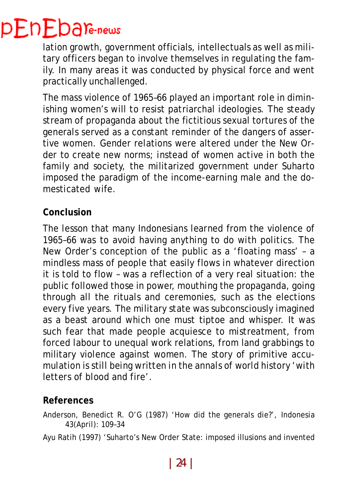lation growth, government officials, intellectuals as well as military officers began to involve themselves in regulating the family. In many areas it was conducted by physical force and went practically unchallenged.

The mass violence of 1965–66 played an important role in diminishing women's will to resist patriarchal ideologies. The steady stream of propaganda about the fictitious sexual tortures of the generals served as a constant reminder of the dangers of assertive women. Gender relations were altered under the New Order to create new norms; instead of women active in both the family and society, the militarized government under Suharto imposed the paradigm of the income-earning male and the domesticated wife.

#### **Conclusion**

The lesson that many Indonesians learned from the violence of 1965–66 was to avoid having anything to do with politics. The New Order's conception of the public as a 'floating mass' – a mindless mass of people that easily flows in whatever direction it is told to flow – was a reflection of a very real situation: the public followed those in power, mouthing the propaganda, going through all the rituals and ceremonies, such as the elections every five years. The military state was subconsciously imagined as a beast around which one must tiptoe and whisper. It was such fear that made people acquiesce to mistreatment, from forced labour to unequal work relations, from land grabbings to military violence against women. The story of primitive accumulation is still being written in the annals of world history 'with letters of blood and fire'.

#### **References**

Anderson, Benedict R. O'G (1987) 'How did the generals die?', *Indonesia* 43(April): 109–34

Ayu Ratih (1997) 'Suharto's New Order State: imposed illusions and invented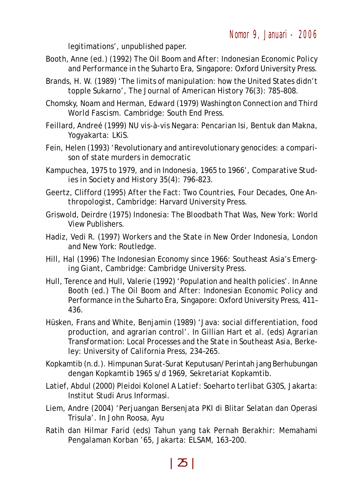legitimations', unpublished paper.

- Booth, Anne (ed.) (1992) *The Oil Boom and After: Indonesian Economic Policy and Performance in the Suharto Era*, Singapore: Oxford University Press.
- Brands, H. W. (1989) 'The limits of manipulation: how the United States didn't topple Sukarno', *The Journal of American History* 76(3): 785–808.
- Chomsky, Noam and Herman, Edward (1979) *Washington Connection and Third World Fascism.* Cambridge: South End Press.
- Feillard, Andreé (1999) *NU vis-à-vis Negara: Pencarian Isi, Bentuk dan Makna*, Yogyakarta: LKiS.
- Fein, Helen (1993) 'Revolutionary and antirevolutionary genocides: a comparison of state murders in democratic
- Kampuchea, 1975 to 1979, and in Indonesia, 1965 to 1966', *Comparative Studies in Society and History* 35(4): 796–823.
- Geertz, Clifford (1995) *After the Fact: Two Countries, Four Decades, One Anthropologist*, Cambridge: Harvard University Press.
- Griswold, Deirdre (1975) *Indonesia: The Bloodbath That Was*, New York: World View Publishers.
- Hadiz, Vedi R. (1997) *Workers and the State in New Order Indonesia*, London and New York: Routledge.
- Hill, Hal (1996) *The Indonesian Economy since 1966: Southeast Asia's Emerging Giant*, Cambridge: Cambridge University Press.
- Hull, Terence and Hull, Valerie (1992) 'Population and health policies'. In Anne Booth (ed.) *The Oil Boom and After: Indonesian Economic Policy and Performance in the Suharto Era,* Singapore: Oxford University Press, 411– 436.
- Hüsken, Frans and White, Benjamin (1989) 'Java: social differentiation, food production, and agrarian control'. In Gillian Hart *et al*. (eds) *Agrarian Transformation: Local Processes and the State in Southeast Asia,* Berkeley: University of California Press, 234–265.
- Kopkamtib (n.d.). *Himpunan Surat-Surat Keputusan/Perintah jang Berhubungan dengan Kopkamtib 1965 s/d 1969*, Sekretariat Kopkamtib.
- Latief, Abdul (2000) *Pleidoi Kolonel A Latief: Soeharto terlibat G30S*, Jakarta: Institut Studi Arus Informasi.
- Liem, Andre (2004) 'Perjuangan Bersenjata PKI di Blitar Selatan dan Operasi Trisula'. In John Roosa, Ayu
- Ratih dan Hilmar Farid (eds) *Tahun yang tak Pernah Berakhir: Memahami Pengalaman Korban '65,* Jakarta: ELSAM, 163–200.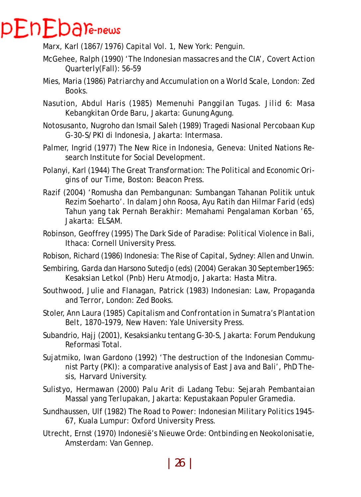### DEnEbare-news

Marx, Karl (1867/1976) *Capital* Vol. 1, New York: Penguin.

- McGehee, Ralph (1990) 'The Indonesian massacres and the CIA', *Covert Action Quarterly*(Fall): 56–59
- Mies, Maria (1986) *Patriarchy and Accumulation on a World Scale*, London: Zed **Books**
- Nasution, Abdul Haris (1985) *Memenuhi Panggilan Tugas. Jilid 6: Masa Kebangkitan Orde Baru*, Jakarta: Gunung Agung.
- Notosusanto, Nugroho dan Ismail Saleh (1989) *Tragedi Nasional Percobaan Kup G-30-S/PKI di Indonesia*, Jakarta: Intermasa.
- Palmer, Ingrid (1977) *The New Rice in Indonesia*, Geneva: United Nations Research Institute for Social Development.
- Polanyi, Karl (1944) *The Great Transformation: The Political and Economic Origins of our Time*, Boston: Beacon Press.
- Razif (2004) 'Romusha dan Pembangunan: Sumbangan Tahanan Politik untuk Rezim Soeharto'. In dalam John Roosa, Ayu Ratih dan Hilmar Farid (eds) *Tahun yang tak Pernah Berakhir: Memahami Pengalaman Korban '65,* Jakarta: ELSAM.
- Robinson, Geoffrey (1995) *The Dark Side of Paradise: Political Violence in Bali*, Ithaca: Cornell University Press.
- Robison, Richard (1986) *Indonesia: The Rise of Capital*, Sydney: Allen and Unwin.
- Sembiring, Garda dan Harsono Sutedjo (eds) (2004) *Gerakan 30 September1965: Kesaksian Letkol (Pnb) Heru Atmodjo*, Jakarta: Hasta Mitra.
- Southwood, Julie and Flanagan, Patrick (1983) *Indonesian: Law, Propaganda and Terror*, London: Zed Books.
- Stoler, Ann Laura (1985) *Capitalism and Confrontation in Sumatra's Plantation Belt, 1870–1979*, New Haven: Yale University Press.
- Subandrio, Hajj (2001), *Kesaksianku tentang G-30-S*, Jakarta: Forum Pendukung Reformasi Total.
- Sujatmiko, Iwan Gardono (1992) 'The destruction of the Indonesian Communist Party (PKI): a comparative analysis of East Java and Bali', PhD Thesis, Harvard University.
- Sulistyo, Hermawan (2000) *Palu Arit di Ladang Tebu: Sejarah Pembantaian Massal yang Terlupakan*, Jakarta: Kepustakaan Populer Gramedia.
- Sundhaussen, Ulf (1982) *The Road to Power: Indonesian Military Politics 1945- 67*, Kuala Lumpur: Oxford University Press.
- Utrecht, Ernst (1970) *Indonesië's Nieuwe Orde: Ontbinding en Neokolonisatie*, Amsterdam: Van Gennep.